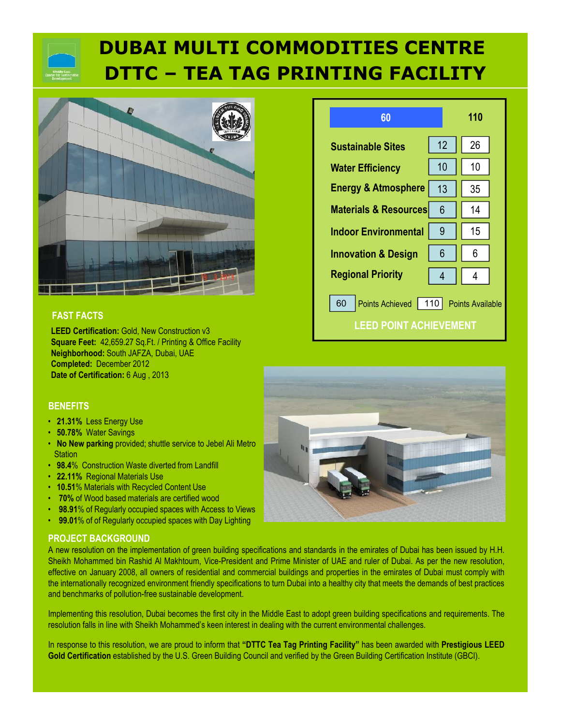# **DUBAI MULTI COMMODITIES CENTRE DTTC – TEA TAG PRINTING FACILITY**



## **FAST FACTS**

**LEED Certification:** Gold, New Construction v3 **Square Feet:** 42,659.27 Sq.Ft. / Printing & Office Facility **Neighborhood:** South JAFZA, Dubai, UAE **Completed:** December 2012 **Date of Certification:** 6 Aug , 2013

## **BENEFITS**

- **21.31%** Less Energy Use
- **50.78%** Water Savings
- **No New parking** provided; shuttle service to Jebel Ali Metro **Station**
- **98.4**% Construction Waste diverted from Landfill
- **22.11%** Regional Materials Use
- **10.51**% Materials with Recycled Content Use
- **70%** of Wood based materials are certified wood
- **98.91%** of Regularly occupied spaces with Access to Views
- **99.01**% of of Regularly occupied spaces with Day Lighting

## **PROJECT BACKGROUND**

A new resolution on the implementation of green building specifications and standards in the emirates of Dubai has been issued by H.H. Sheikh Mohammed bin Rashid Al Makhtoum, Vice-President and Prime Minister of UAE and ruler of Dubai. As per the new resolution, effective on January 2008, all owners of residential and commercial buildings and properties in the emirates of Dubai must comply with the internationally recognized environment friendly specifications to turn Dubai into a healthy city that meets the demands of best practices and benchmarks of pollution-free sustainable development.

Implementing this resolution, Dubai becomes the first city in the Middle East to adopt green building specifications and requirements. The resolution falls in line with Sheikh Mohammed's keen interest in dealing with the current environmental challenges.

In response to this resolution, we are proud to inform that **"DTTC Tea Tag Printing Facility"** has been awarded with **Prestigious LEED Gold Certification** established by the U.S. Green Building Council and verified by the Green Building Certification Institute (GBCI).